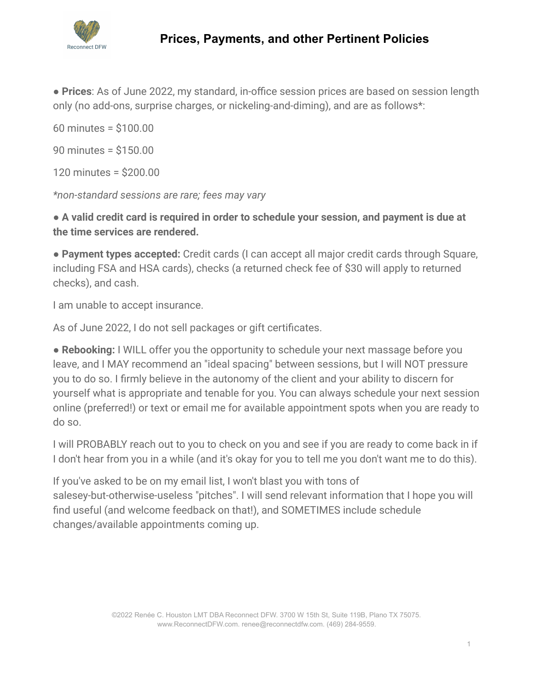

● **Prices**: As of June 2022, my standard, in-office session prices are based on session length only (no add-ons, surprise charges, or nickeling-and-diming), and are as follows\*:

60 minutes = \$100.00 90 minutes = \$150.00

120 minutes = \$200.00

*\*non-standard sessions are rare; fees may vary*

● **A valid credit card is required in order to schedule your session, and payment is due at the time services are rendered.**

● **Payment types accepted:** Credit cards (I can accept all major credit cards through Square, including FSA and HSA cards), checks (a returned check fee of \$30 will apply to returned checks), and cash.

I am unable to accept insurance.

As of June 2022, I do not sell packages or gift certificates.

● **Rebooking:** I WILL offer you the opportunity to schedule your next massage before you leave, and I MAY recommend an "ideal spacing" between sessions, but I will NOT pressure you to do so. I firmly believe in the autonomy of the client and your ability to discern for yourself what is appropriate and tenable for you. You can always schedule your next session online (preferred!) or text or email me for available appointment spots when you are ready to do so.

I will PROBABLY reach out to you to check on you and see if you are ready to come back in if I don't hear from you in a while (and it's okay for you to tell me you don't want me to do this).

If you've asked to be on my email list, I won't blast you with tons of salesey-but-otherwise-useless "pitches". I will send relevant information that I hope you will find useful (and welcome feedback on that!), and SOMETIMES include schedule changes/available appointments coming up.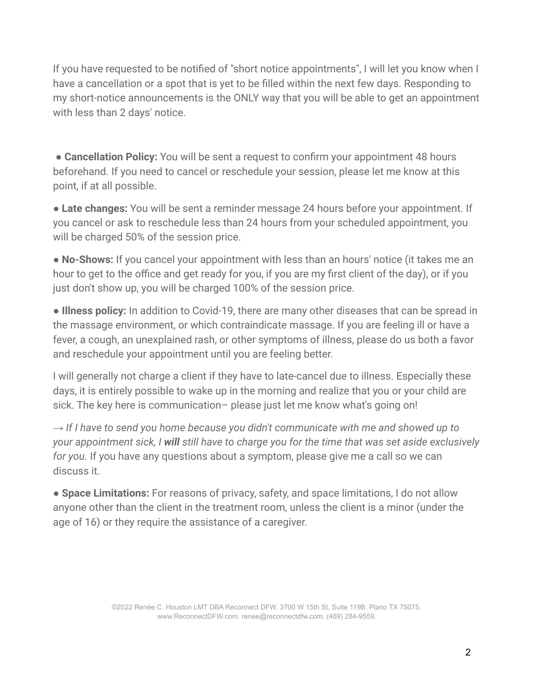If you have requested to be notified of "short notice appointments", I will let you know when I have a cancellation or a spot that is yet to be filled within the next few days. Responding to my short-notice announcements is the ONLY way that you will be able to get an appointment with less than 2 days' notice.

**• Cancellation Policy:** You will be sent a request to confirm your appointment 48 hours beforehand. If you need to cancel or reschedule your session, please let me know at this point, if at all possible.

● **Late changes:** You will be sent a reminder message 24 hours before your appointment. If you cancel or ask to reschedule less than 24 hours from your scheduled appointment, you will be charged 50% of the session price.

● **No-Shows:** If you cancel your appointment with less than an hours' notice (it takes me an hour to get to the office and get ready for you, if you are my first client of the day), or if you just don't show up, you will be charged 100% of the session price.

● **Illness policy:** In addition to Covid-19, there are many other diseases that can be spread in the massage environment, or which contraindicate massage. If you are feeling ill or have a fever, a cough, an unexplained rash, or other symptoms of illness, please do us both a favor and reschedule your appointment until you are feeling better.

I will generally not charge a client if they have to late-cancel due to illness. Especially these days, it is entirely possible to wake up in the morning and realize that you or your child are sick. The key here is communication– please just let me know what's going on!

*→ If I have to send you home because you didn't communicate with me and showed up to your appointment sick, I will still have to charge you for the time that was set aside exclusively for you.* If you have any questions about a symptom, please give me a call so we can discuss it.

● **Space Limitations:** For reasons of privacy, safety, and space limitations, I do not allow anyone other than the client in the treatment room, unless the client is a minor (under the age of 16) or they require the assistance of a caregiver.